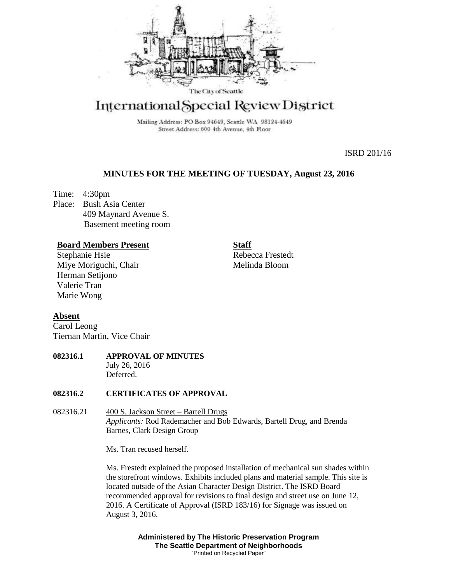

# International Special Review District

Mailing Address: PO Box 94649, Seattle WA 98124-4649 Street Address: 600 4th Avenue, 4th Floor

ISRD 201/16

# **MINUTES FOR THE MEETING OF TUESDAY, August 23, 2016**

Time: 4:30pm Place: Bush Asia Center 409 Maynard Avenue S. Basement meeting room

## **Board Members Present**

Stephanie Hsie Miye Moriguchi, Chair Herman Setijono Valerie Tran Marie Wong

**Staff** Rebecca Frestedt Melinda Bloom

# **Absent**

Carol Leong Tiernan Martin, Vice Chair

## **082316.1 APPROVAL OF MINUTES** July 26, 2016 Deferred.

## **082316.2 CERTIFICATES OF APPROVAL**

082316.21 400 S. Jackson Street – Bartell Drugs *Applicants:* Rod Rademacher and Bob Edwards, Bartell Drug, and Brenda Barnes, Clark Design Group

Ms. Tran recused herself.

Ms. Frestedt explained the proposed installation of mechanical sun shades within the storefront windows. Exhibits included plans and material sample. This site is located outside of the Asian Character Design District. The ISRD Board recommended approval for revisions to final design and street use on June 12, 2016. A Certificate of Approval (ISRD 183/16) for Signage was issued on August 3, 2016.

> **Administered by The Historic Preservation Program The Seattle Department of Neighborhoods** "Printed on Recycled Paper"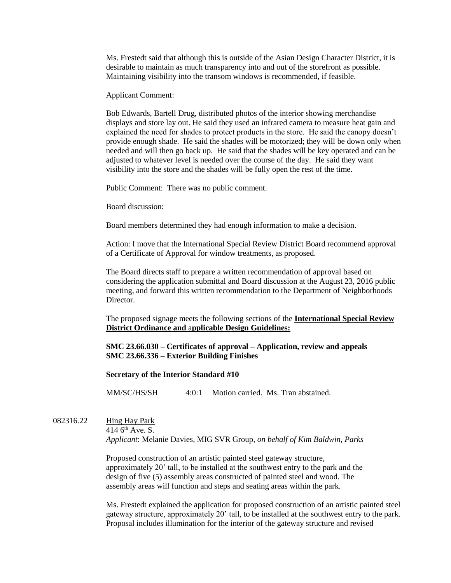Ms. Frestedt said that although this is outside of the Asian Design Character District, it is desirable to maintain as much transparency into and out of the storefront as possible. Maintaining visibility into the transom windows is recommended, if feasible.

Applicant Comment:

Bob Edwards, Bartell Drug, distributed photos of the interior showing merchandise displays and store lay out. He said they used an infrared camera to measure heat gain and explained the need for shades to protect products in the store. He said the canopy doesn't provide enough shade. He said the shades will be motorized; they will be down only when needed and will then go back up. He said that the shades will be key operated and can be adjusted to whatever level is needed over the course of the day. He said they want visibility into the store and the shades will be fully open the rest of the time.

Public Comment: There was no public comment.

Board discussion:

Board members determined they had enough information to make a decision.

Action: I move that the International Special Review District Board recommend approval of a Certificate of Approval for window treatments, as proposed.

The Board directs staff to prepare a written recommendation of approval based on considering the application submittal and Board discussion at the August 23, 2016 public meeting, and forward this written recommendation to the Department of Neighborhoods Director.

The proposed signage meets the following sections of the **International Special Review District Ordinance and** a**pplicable Design Guidelines:**

## **SMC 23.66.030 – Certificates of approval – Application, review and appeals SMC 23.66.336 – Exterior Building Finishes**

#### **Secretary of the Interior Standard #10**

MM/SC/HS/SH 4:0:1 Motion carried. Ms. Tran abstained.

082316.22 Hing Hay Park 414  $6<sup>th</sup>$  Ave. S.

*Applicant*: Melanie Davies, MIG SVR Group, *on behalf of Kim Baldwin, Parks*

Proposed construction of an artistic painted steel gateway structure, approximately 20' tall, to be installed at the southwest entry to the park and the design of five (5) assembly areas constructed of painted steel and wood. The assembly areas will function and steps and seating areas within the park.

Ms. Frestedt explained the application for proposed construction of an artistic painted steel gateway structure, approximately 20' tall, to be installed at the southwest entry to the park. Proposal includes illumination for the interior of the gateway structure and revised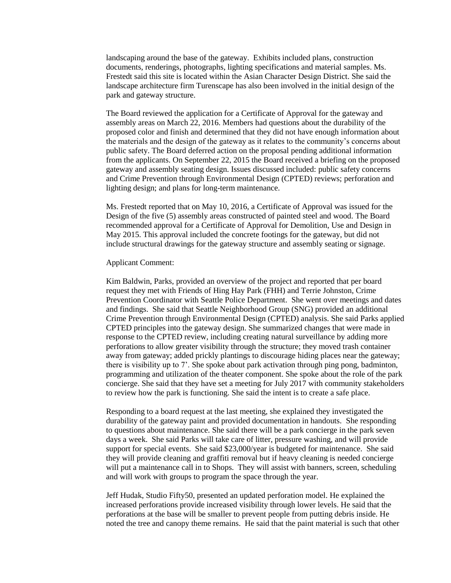landscaping around the base of the gateway. Exhibits included plans, construction documents, renderings, photographs, lighting specifications and material samples. Ms. Frestedt said this site is located within the Asian Character Design District. She said the landscape architecture firm Turenscape has also been involved in the initial design of the park and gateway structure.

The Board reviewed the application for a Certificate of Approval for the gateway and assembly areas on March 22, 2016. Members had questions about the durability of the proposed color and finish and determined that they did not have enough information about the materials and the design of the gateway as it relates to the community's concerns about public safety. The Board deferred action on the proposal pending additional information from the applicants. On September 22, 2015 the Board received a briefing on the proposed gateway and assembly seating design. Issues discussed included: public safety concerns and Crime Prevention through Environmental Design (CPTED) reviews; perforation and lighting design; and plans for long-term maintenance.

Ms. Frestedt reported that on May 10, 2016, a Certificate of Approval was issued for the Design of the five (5) assembly areas constructed of painted steel and wood. The Board recommended approval for a Certificate of Approval for Demolition, Use and Design in May 2015. This approval included the concrete footings for the gateway, but did not include structural drawings for the gateway structure and assembly seating or signage.

#### Applicant Comment:

Kim Baldwin, Parks, provided an overview of the project and reported that per board request they met with Friends of Hing Hay Park (FHH) and Terrie Johnston, Crime Prevention Coordinator with Seattle Police Department. She went over meetings and dates and findings. She said that Seattle Neighborhood Group (SNG) provided an additional Crime Prevention through Environmental Design (CPTED) analysis. She said Parks applied CPTED principles into the gateway design. She summarized changes that were made in response to the CPTED review, including creating natural surveillance by adding more perforations to allow greater visibility through the structure; they moved trash container away from gateway; added prickly plantings to discourage hiding places near the gateway; there is visibility up to 7'. She spoke about park activation through ping pong, badminton, programming and utilization of the theater component. She spoke about the role of the park concierge. She said that they have set a meeting for July 2017 with community stakeholders to review how the park is functioning. She said the intent is to create a safe place.

Responding to a board request at the last meeting, she explained they investigated the durability of the gateway paint and provided documentation in handouts. She responding to questions about maintenance. She said there will be a park concierge in the park seven days a week. She said Parks will take care of litter, pressure washing, and will provide support for special events. She said \$23,000/year is budgeted for maintenance. She said they will provide cleaning and graffiti removal but if heavy cleaning is needed concierge will put a maintenance call in to Shops. They will assist with banners, screen, scheduling and will work with groups to program the space through the year.

Jeff Hudak, Studio Fifty50, presented an updated perforation model. He explained the increased perforations provide increased visibility through lower levels. He said that the perforations at the base will be smaller to prevent people from putting debris inside. He noted the tree and canopy theme remains. He said that the paint material is such that other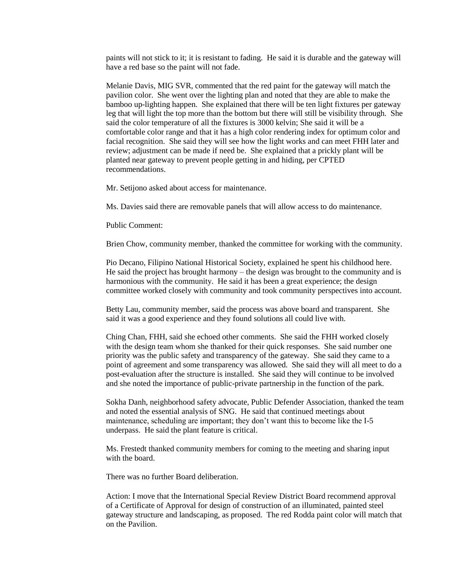paints will not stick to it; it is resistant to fading. He said it is durable and the gateway will have a red base so the paint will not fade.

Melanie Davis, MIG SVR, commented that the red paint for the gateway will match the pavilion color. She went over the lighting plan and noted that they are able to make the bamboo up-lighting happen. She explained that there will be ten light fixtures per gateway leg that will light the top more than the bottom but there will still be visibility through. She said the color temperature of all the fixtures is 3000 kelvin; She said it will be a comfortable color range and that it has a high color rendering index for optimum color and facial recognition. She said they will see how the light works and can meet FHH later and review; adjustment can be made if need be. She explained that a prickly plant will be planted near gateway to prevent people getting in and hiding, per CPTED recommendations.

Mr. Setijono asked about access for maintenance.

Ms. Davies said there are removable panels that will allow access to do maintenance.

Public Comment:

Brien Chow, community member, thanked the committee for working with the community.

Pio Decano, Filipino National Historical Society, explained he spent his childhood here. He said the project has brought harmony – the design was brought to the community and is harmonious with the community. He said it has been a great experience; the design committee worked closely with community and took community perspectives into account.

Betty Lau, community member, said the process was above board and transparent. She said it was a good experience and they found solutions all could live with.

Ching Chan, FHH, said she echoed other comments. She said the FHH worked closely with the design team whom she thanked for their quick responses. She said number one priority was the public safety and transparency of the gateway. She said they came to a point of agreement and some transparency was allowed. She said they will all meet to do a post-evaluation after the structure is installed. She said they will continue to be involved and she noted the importance of public-private partnership in the function of the park.

Sokha Danh, neighborhood safety advocate, Public Defender Association, thanked the team and noted the essential analysis of SNG. He said that continued meetings about maintenance, scheduling are important; they don't want this to become like the I-5 underpass. He said the plant feature is critical.

Ms. Frestedt thanked community members for coming to the meeting and sharing input with the board.

There was no further Board deliberation.

Action: I move that the International Special Review District Board recommend approval of a Certificate of Approval for design of construction of an illuminated, painted steel gateway structure and landscaping, as proposed. The red Rodda paint color will match that on the Pavilion.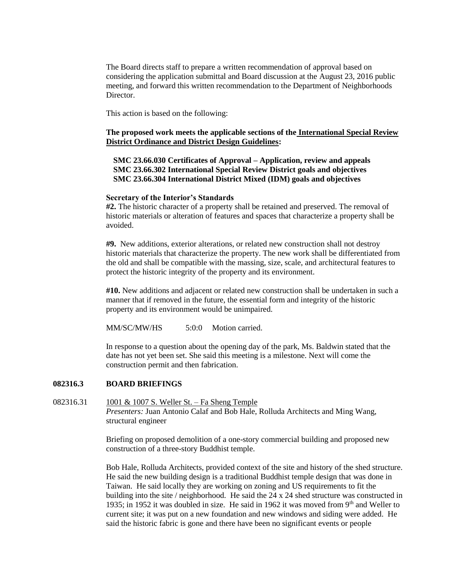The Board directs staff to prepare a written recommendation of approval based on considering the application submittal and Board discussion at the August 23, 2016 public meeting, and forward this written recommendation to the Department of Neighborhoods Director.

This action is based on the following:

## **The proposed work meets the applicable sections of the International Special Review District Ordinance and District Design Guidelines:**

**SMC 23.66.030 Certificates of Approval – Application, review and appeals SMC 23.66.302 International Special Review District goals and objectives SMC 23.66.304 International District Mixed (IDM) goals and objectives**

#### **Secretary of the Interior's Standards**

**#2.** The historic character of a property shall be retained and preserved. The removal of historic materials or alteration of features and spaces that characterize a property shall be avoided.

**#9.** New additions, exterior alterations, or related new construction shall not destroy historic materials that characterize the property. The new work shall be differentiated from the old and shall be compatible with the massing, size, scale, and architectural features to protect the historic integrity of the property and its environment.

**#10.** New additions and adjacent or related new construction shall be undertaken in such a manner that if removed in the future, the essential form and integrity of the historic property and its environment would be unimpaired.

MM/SC/MW/HS 5:0:0 Motion carried.

In response to a question about the opening day of the park, Ms. Baldwin stated that the date has not yet been set. She said this meeting is a milestone. Next will come the construction permit and then fabrication.

#### **082316.3 BOARD BRIEFINGS**

## 082316.31 1001 & 1007 S. Weller St. – Fa Sheng Temple *Presenters:* Juan Antonio Calaf and Bob Hale, Rolluda Architects and Ming Wang, structural engineer

Briefing on proposed demolition of a one-story commercial building and proposed new construction of a three-story Buddhist temple.

Bob Hale, Rolluda Architects, provided context of the site and history of the shed structure. He said the new building design is a traditional Buddhist temple design that was done in Taiwan. He said locally they are working on zoning and US requirements to fit the building into the site / neighborhood. He said the 24 x 24 shed structure was constructed in 1935; in 1952 it was doubled in size. He said in 1962 it was moved from  $9<sup>th</sup>$  and Weller to current site; it was put on a new foundation and new windows and siding were added. He said the historic fabric is gone and there have been no significant events or people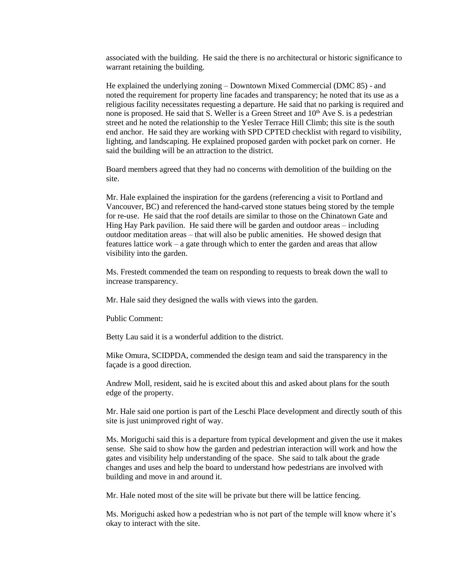associated with the building. He said the there is no architectural or historic significance to warrant retaining the building.

He explained the underlying zoning – Downtown Mixed Commercial (DMC 85) - and noted the requirement for property line facades and transparency; he noted that its use as a religious facility necessitates requesting a departure. He said that no parking is required and none is proposed. He said that S. Weller is a Green Street and  $10<sup>th</sup>$  Ave S. is a pedestrian street and he noted the relationship to the Yesler Terrace Hill Climb; this site is the south end anchor. He said they are working with SPD CPTED checklist with regard to visibility, lighting, and landscaping. He explained proposed garden with pocket park on corner. He said the building will be an attraction to the district.

Board members agreed that they had no concerns with demolition of the building on the site.

Mr. Hale explained the inspiration for the gardens (referencing a visit to Portland and Vancouver, BC) and referenced the hand-carved stone statues being stored by the temple for re-use. He said that the roof details are similar to those on the Chinatown Gate and Hing Hay Park pavilion. He said there will be garden and outdoor areas – including outdoor meditation areas – that will also be public amenities. He showed design that features lattice work – a gate through which to enter the garden and areas that allow visibility into the garden.

Ms. Frestedt commended the team on responding to requests to break down the wall to increase transparency.

Mr. Hale said they designed the walls with views into the garden.

Public Comment:

Betty Lau said it is a wonderful addition to the district.

Mike Omura, SCIDPDA, commended the design team and said the transparency in the façade is a good direction.

Andrew Moll, resident, said he is excited about this and asked about plans for the south edge of the property.

Mr. Hale said one portion is part of the Leschi Place development and directly south of this site is just unimproved right of way.

Ms. Moriguchi said this is a departure from typical development and given the use it makes sense. She said to show how the garden and pedestrian interaction will work and how the gates and visibility help understanding of the space. She said to talk about the grade changes and uses and help the board to understand how pedestrians are involved with building and move in and around it.

Mr. Hale noted most of the site will be private but there will be lattice fencing.

Ms. Moriguchi asked how a pedestrian who is not part of the temple will know where it's okay to interact with the site.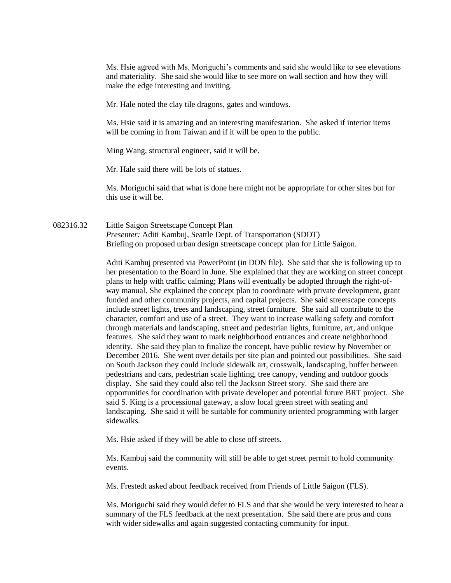Ms. Hsie agreed with Ms. Moriguchi's comments and said she would like to see elevations and materiality. She said she would like to see more on wall section and how they will make the edge interesting and inviting.

Mr. Hale noted the clay tile dragons, gates and windows.

Ms. Hsie said it is amazing and an interesting manifestation. She asked if interior items will be coming in from Taiwan and if it will be open to the public.

Ming Wang, structural engineer, said it will be.

Mr. Hale said there will be lots of statues.

Ms. Moriguchi said that what is done here might not be appropriate for other sites but for this use it will be.

## 082316.32 Little Saigon Streetscape Concept Plan *Presenter:* Aditi Kambuj, Seattle Dept. of Transportation (SDOT) Briefing on proposed urban design streetscape concept plan for Little Saigon.

Aditi Kambuj presented via PowerPoint (in DON file). She said that she is following up to her presentation to the Board in June. She explained that they are working on street concept plans to help with traffic calming; Plans will eventually be adopted through the right-ofway manual. She explained the concept plan to coordinate with private development, grant funded and other community projects, and capital projects. She said streetscape concepts include street lights, trees and landscaping, street furniture. She said all contribute to the character, comfort and use of a street. They want to increase walking safety and comfort through materials and landscaping, street and pedestrian lights, furniture, art, and unique features. She said they want to mark neighborhood entrances and create neighborhood identity. She said they plan to finalize the concept, have public review by November or December 2016. She went over details per site plan and pointed out possibilities. She said on South Jackson they could include sidewalk art, crosswalk, landscaping, buffer between pedestrians and cars, pedestrian scale lighting, tree canopy, vending and outdoor goods display. She said they could also tell the Jackson Street story. She said there are opportunities for coordination with private developer and potential future BRT project. She said S. King is a processional gateway, a slow local green street with seating and landscaping. She said it will be suitable for community oriented programming with larger sidewalks.

Ms. Hsie asked if they will be able to close off streets.

Ms. Kambuj said the community will still be able to get street permit to hold community events.

Ms. Frestedt asked about feedback received from Friends of Little Saigon (FLS).

Ms. Moriguchi said they would defer to FLS and that she would be very interested to hear a summary of the FLS feedback at the next presentation. She said there are pros and cons with wider sidewalks and again suggested contacting community for input.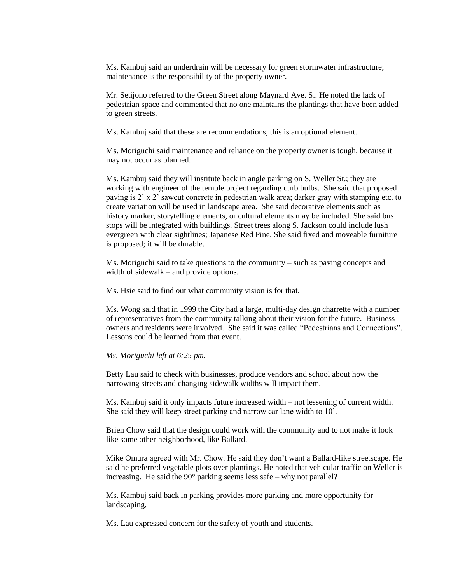Ms. Kambuj said an underdrain will be necessary for green stormwater infrastructure; maintenance is the responsibility of the property owner.

Mr. Setijono referred to the Green Street along Maynard Ave. S.. He noted the lack of pedestrian space and commented that no one maintains the plantings that have been added to green streets.

Ms. Kambuj said that these are recommendations, this is an optional element.

Ms. Moriguchi said maintenance and reliance on the property owner is tough, because it may not occur as planned.

Ms. Kambuj said they will institute back in angle parking on S. Weller St.; they are working with engineer of the temple project regarding curb bulbs. She said that proposed paving is 2' x 2' sawcut concrete in pedestrian walk area; darker gray with stamping etc. to create variation will be used in landscape area. She said decorative elements such as history marker, storytelling elements, or cultural elements may be included. She said bus stops will be integrated with buildings. Street trees along S. Jackson could include lush evergreen with clear sightlines; Japanese Red Pine. She said fixed and moveable furniture is proposed; it will be durable.

Ms. Moriguchi said to take questions to the community – such as paving concepts and width of sidewalk – and provide options.

Ms. Hsie said to find out what community vision is for that.

Ms. Wong said that in 1999 the City had a large, multi-day design charrette with a number of representatives from the community talking about their vision for the future. Business owners and residents were involved. She said it was called "Pedestrians and Connections". Lessons could be learned from that event.

#### *Ms. Moriguchi left at 6:25 pm.*

Betty Lau said to check with businesses, produce vendors and school about how the narrowing streets and changing sidewalk widths will impact them.

Ms. Kambuj said it only impacts future increased width – not lessening of current width. She said they will keep street parking and narrow car lane width to 10'.

Brien Chow said that the design could work with the community and to not make it look like some other neighborhood, like Ballard.

Mike Omura agreed with Mr. Chow. He said they don't want a Ballard-like streetscape. He said he preferred vegetable plots over plantings. He noted that vehicular traffic on Weller is increasing. He said the  $90^{\circ}$  parking seems less safe – why not parallel?

Ms. Kambuj said back in parking provides more parking and more opportunity for landscaping.

Ms. Lau expressed concern for the safety of youth and students.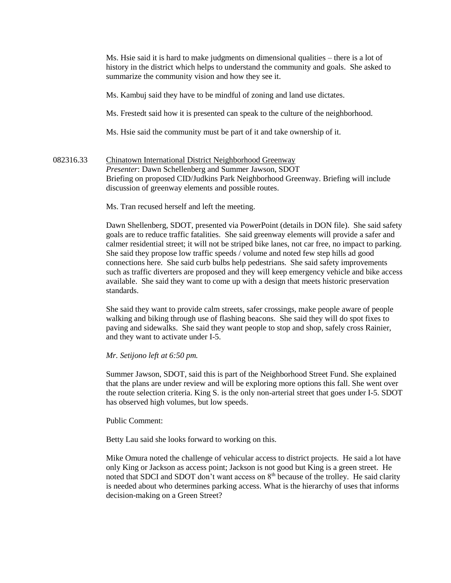Ms. Hsie said it is hard to make judgments on dimensional qualities – there is a lot of history in the district which helps to understand the community and goals. She asked to summarize the community vision and how they see it.

Ms. Kambuj said they have to be mindful of zoning and land use dictates.

Ms. Frestedt said how it is presented can speak to the culture of the neighborhood.

Ms. Hsie said the community must be part of it and take ownership of it.

## 082316.33 Chinatown International District Neighborhood Greenway *Presenter*: Dawn Schellenberg and Summer Jawson, SDOT Briefing on proposed CID/Judkins Park Neighborhood Greenway. Briefing will include discussion of greenway elements and possible routes.

Ms. Tran recused herself and left the meeting.

Dawn Shellenberg, SDOT, presented via PowerPoint (details in DON file). She said safety goals are to reduce traffic fatalities. She said greenway elements will provide a safer and calmer residential street; it will not be striped bike lanes, not car free, no impact to parking. She said they propose low traffic speeds / volume and noted few step hills ad good connections here. She said curb bulbs help pedestrians. She said safety improvements such as traffic diverters are proposed and they will keep emergency vehicle and bike access available. She said they want to come up with a design that meets historic preservation standards.

She said they want to provide calm streets, safer crossings, make people aware of people walking and biking through use of flashing beacons. She said they will do spot fixes to paving and sidewalks. She said they want people to stop and shop, safely cross Rainier, and they want to activate under I-5.

#### *Mr. Setijono left at 6:50 pm.*

Summer Jawson, SDOT, said this is part of the Neighborhood Street Fund. She explained that the plans are under review and will be exploring more options this fall. She went over the route selection criteria. King S. is the only non-arterial street that goes under I-5. SDOT has observed high volumes, but low speeds.

Public Comment:

Betty Lau said she looks forward to working on this.

Mike Omura noted the challenge of vehicular access to district projects. He said a lot have only King or Jackson as access point; Jackson is not good but King is a green street. He noted that SDCI and SDOT don't want access on  $8<sup>th</sup>$  because of the trolley. He said clarity is needed about who determines parking access. What is the hierarchy of uses that informs decision-making on a Green Street?